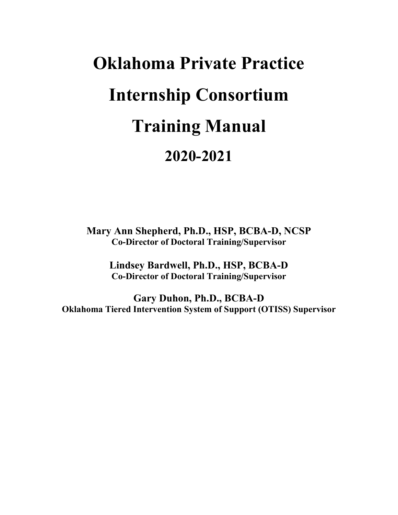# **Oklahoma Private Practice Internship Consortium Training Manual 2020-2021**

**Mary Ann Shepherd, Ph.D., HSP, BCBA-D, NCSP Co-Director of Doctoral Training/Supervisor**

**Lindsey Bardwell, Ph.D., HSP, BCBA-D Co-Director of Doctoral Training/Supervisor**

**Gary Duhon, Ph.D., BCBA-D Oklahoma Tiered Intervention System of Support (OTISS) Supervisor**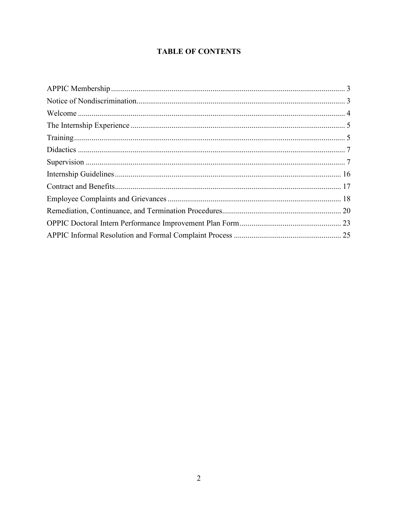# **TABLE OF CONTENTS**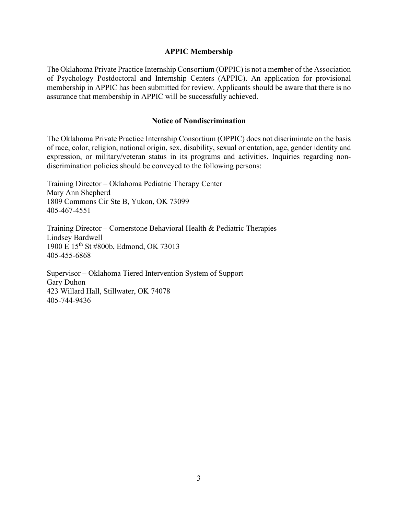#### **APPIC Membership**

<span id="page-2-0"></span>The Oklahoma Private Practice Internship Consortium (OPPIC) is not a member of the Association of Psychology Postdoctoral and Internship Centers (APPIC). An application for provisional membership in APPIC has been submitted for review. Applicants should be aware that there is no assurance that membership in APPIC will be successfully achieved.

#### **Notice of Nondiscrimination**

<span id="page-2-1"></span>The Oklahoma Private Practice Internship Consortium (OPPIC) does not discriminate on the basis of race, color, religion, national origin, sex, disability, sexual orientation, age, gender identity and expression, or military/veteran status in its programs and activities. Inquiries regarding nondiscrimination policies should be conveyed to the following persons:

Training Director – Oklahoma Pediatric Therapy Center Mary Ann Shepherd 1809 Commons Cir Ste B, Yukon, OK 73099 405-467-4551

Training Director – Cornerstone Behavioral Health & Pediatric Therapies Lindsey Bardwell 1900 E 15th St #800b, Edmond, OK 73013 405-455-6868

Supervisor – Oklahoma Tiered Intervention System of Support Gary Duhon 423 Willard Hall, Stillwater, OK 74078 405-744-9436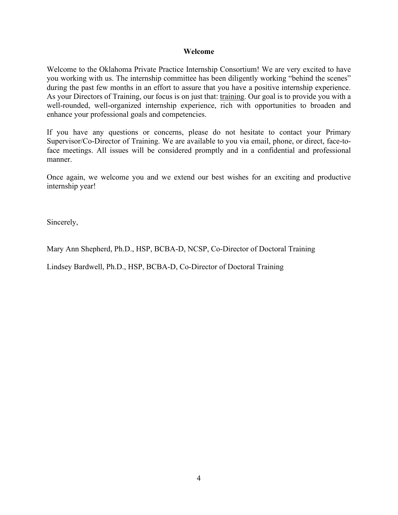#### **Welcome**

<span id="page-3-0"></span>Welcome to the Oklahoma Private Practice Internship Consortium! We are very excited to have you working with us. The internship committee has been diligently working "behind the scenes" during the past few months in an effort to assure that you have a positive internship experience. As your Directors of Training, our focus is on just that: training. Our goal is to provide you with a well-rounded, well-organized internship experience, rich with opportunities to broaden and enhance your professional goals and competencies.

If you have any questions or concerns, please do not hesitate to contact your Primary Supervisor/Co-Director of Training. We are available to you via email, phone, or direct, face-toface meetings. All issues will be considered promptly and in a confidential and professional manner.

Once again, we welcome you and we extend our best wishes for an exciting and productive internship year!

Sincerely,

Mary Ann Shepherd, Ph.D., HSP, BCBA-D, NCSP, Co-Director of Doctoral Training

Lindsey Bardwell, Ph.D., HSP, BCBA-D, Co-Director of Doctoral Training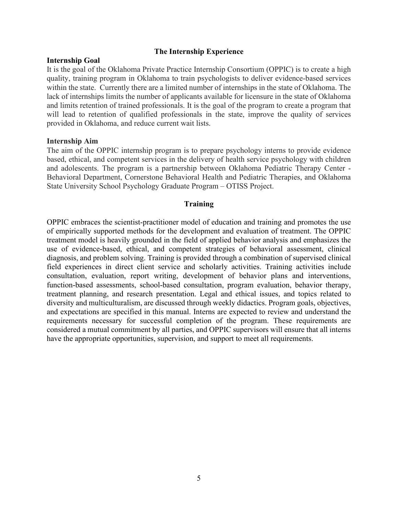#### **The Internship Experience**

#### <span id="page-4-0"></span>**Internship Goal**

It is the goal of the Oklahoma Private Practice Internship Consortium (OPPIC) is to create a high quality, training program in Oklahoma to train psychologists to deliver evidence-based services within the state. Currently there are a limited number of internships in the state of Oklahoma. The lack of internships limits the number of applicants available for licensure in the state of Oklahoma and limits retention of trained professionals. It is the goal of the program to create a program that will lead to retention of qualified professionals in the state, improve the quality of services provided in Oklahoma, and reduce current wait lists.

#### **Internship Aim**

The aim of the OPPIC internship program is to prepare psychology interns to provide evidence based, ethical, and competent services in the delivery of health service psychology with children and adolescents. The program is a partnership between Oklahoma Pediatric Therapy Center - Behavioral Department, Cornerstone Behavioral Health and Pediatric Therapies, and Oklahoma State University School Psychology Graduate Program – OTISS Project.

## **Training**

<span id="page-4-1"></span>OPPIC embraces the scientist-practitioner model of education and training and promotes the use of empirically supported methods for the development and evaluation of treatment. The OPPIC treatment model is heavily grounded in the field of applied behavior analysis and emphasizes the use of evidence-based, ethical, and competent strategies of behavioral assessment, clinical diagnosis, and problem solving. Training is provided through a combination of supervised clinical field experiences in direct client service and scholarly activities. Training activities include consultation, evaluation, report writing, development of behavior plans and interventions, function-based assessments, school-based consultation, program evaluation, behavior therapy, treatment planning, and research presentation. Legal and ethical issues, and topics related to diversity and multiculturalism, are discussed through weekly didactics. Program goals, objectives, and expectations are specified in this manual. Interns are expected to review and understand the requirements necessary for successful completion of the program. These requirements are considered a mutual commitment by all parties, and OPPIC supervisors will ensure that all interns have the appropriate opportunities, supervision, and support to meet all requirements.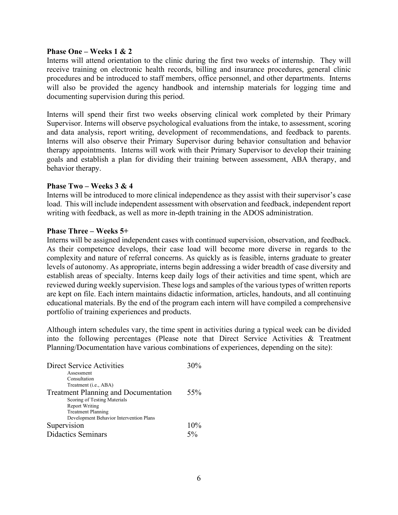#### **Phase One – Weeks 1 & 2**

Interns will attend orientation to the clinic during the first two weeks of internship. They will receive training on electronic health records, billing and insurance procedures, general clinic procedures and be introduced to staff members, office personnel, and other departments. Interns will also be provided the agency handbook and internship materials for logging time and documenting supervision during this period.

Interns will spend their first two weeks observing clinical work completed by their Primary Supervisor. Interns will observe psychological evaluations from the intake, to assessment, scoring and data analysis, report writing, development of recommendations, and feedback to parents. Interns will also observe their Primary Supervisor during behavior consultation and behavior therapy appointments. Interns will work with their Primary Supervisor to develop their training goals and establish a plan for dividing their training between assessment, ABA therapy, and behavior therapy.

#### **Phase Two – Weeks 3 & 4**

Interns will be introduced to more clinical independence as they assist with their supervisor's case load. This will include independent assessment with observation and feedback, independent report writing with feedback, as well as more in-depth training in the ADOS administration.

#### **Phase Three – Weeks 5+**

Interns will be assigned independent cases with continued supervision, observation, and feedback. As their competence develops, their case load will become more diverse in regards to the complexity and nature of referral concerns. As quickly as is feasible, interns graduate to greater levels of autonomy. As appropriate, interns begin addressing a wider breadth of case diversity and establish areas of specialty. Interns keep daily logs of their activities and time spent, which are reviewed during weekly supervision. These logs and samples of the various types of written reports are kept on file. Each intern maintains didactic information, articles, handouts, and all continuing educational materials. By the end of the program each intern will have compiled a comprehensive portfolio of training experiences and products.

Although intern schedules vary, the time spent in activities during a typical week can be divided into the following percentages (Please note that Direct Service Activities & Treatment Planning/Documentation have various combinations of experiences, depending on the site):

| Direct Service Activities                   | $30\%$ |
|---------------------------------------------|--------|
| Assessment                                  |        |
| Consultation                                |        |
| Treatment ( <i>i.e.</i> , ABA)              |        |
| <b>Treatment Planning and Documentation</b> | 55%    |
| Scoring of Testing Materials                |        |
| <b>Report Writing</b>                       |        |
| <b>Treatment Planning</b>                   |        |
| Development Behavior Intervention Plans     |        |
| Supervision                                 | 10%    |
| <b>Didactics Seminars</b>                   | 50/2   |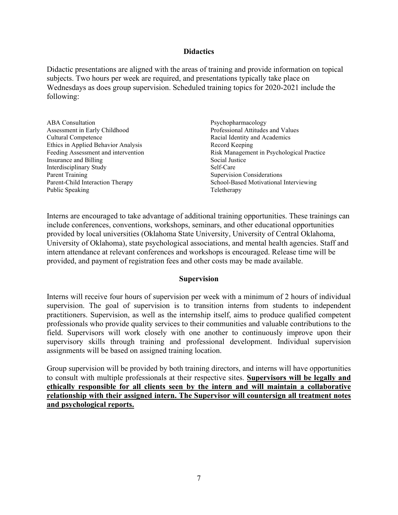#### **Didactics**

<span id="page-6-0"></span>Didactic presentations are aligned with the areas of training and provide information on topical subjects. Two hours per week are required, and presentations typically take place on Wednesdays as does group supervision. Scheduled training topics for 2020-2021 include the following:

| <b>ABA</b> Consultation             | Psychopharmacology                        |
|-------------------------------------|-------------------------------------------|
| Assessment in Early Childhood       | Professional Attitudes and Values         |
| Cultural Competence                 | Racial Identity and Academics             |
| Ethics in Applied Behavior Analysis | Record Keeping                            |
| Feeding Assessment and intervention | Risk Management in Psychological Practice |
| Insurance and Billing               | Social Justice                            |
| Interdisciplinary Study             | Self-Care                                 |
| <b>Parent Training</b>              | <b>Supervision Considerations</b>         |
| Parent-Child Interaction Therapy    | School-Based Motivational Interviewing    |
| Public Speaking                     | Teletherapy                               |

Interns are encouraged to take advantage of additional training opportunities. These trainings can include conferences, conventions, workshops, seminars, and other educational opportunities provided by local universities (Oklahoma State University, University of Central Oklahoma, University of Oklahoma), state psychological associations, and mental health agencies. Staff and intern attendance at relevant conferences and workshops is encouraged. Release time will be provided, and payment of registration fees and other costs may be made available.

## **Supervision**

<span id="page-6-1"></span>Interns will receive four hours of supervision per week with a minimum of 2 hours of individual supervision. The goal of supervision is to transition interns from students to independent practitioners. Supervision, as well as the internship itself, aims to produce qualified competent professionals who provide quality services to their communities and valuable contributions to the field. Supervisors will work closely with one another to continuously improve upon their supervisory skills through training and professional development. Individual supervision assignments will be based on assigned training location.

Group supervision will be provided by both training directors, and interns will have opportunities to consult with multiple professionals at their respective sites. **Supervisors will be legally and ethically responsible for all clients seen by the intern and will maintain a collaborative relationship with their assigned intern. The Supervisor will countersign all treatment notes and psychological reports.**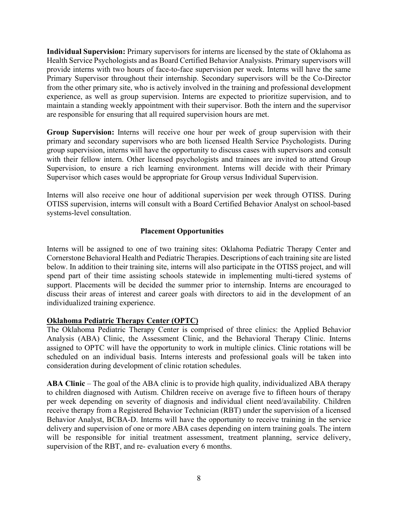**Individual Supervision:** Primary supervisors for interns are licensed by the state of Oklahoma as Health Service Psychologists and as Board Certified Behavior Analysists. Primary supervisors will provide interns with two hours of face-to-face supervision per week. Interns will have the same Primary Supervisor throughout their internship. Secondary supervisors will be the Co-Director from the other primary site, who is actively involved in the training and professional development experience, as well as group supervision. Interns are expected to prioritize supervision, and to maintain a standing weekly appointment with their supervisor. Both the intern and the supervisor are responsible for ensuring that all required supervision hours are met.

**Group Supervision:** Interns will receive one hour per week of group supervision with their primary and secondary supervisors who are both licensed Health Service Psychologists. During group supervision, interns will have the opportunity to discuss cases with supervisors and consult with their fellow intern. Other licensed psychologists and trainees are invited to attend Group Supervision, to ensure a rich learning environment. Interns will decide with their Primary Supervisor which cases would be appropriate for Group versus Individual Supervision.

Interns will also receive one hour of additional supervision per week through OTISS. During OTISS supervision, interns will consult with a Board Certified Behavior Analyst on school-based systems-level consultation.

# **Placement Opportunities**

Interns will be assigned to one of two training sites: Oklahoma Pediatric Therapy Center and Cornerstone Behavioral Health and Pediatric Therapies. Descriptions of each training site are listed below. In addition to their training site, interns will also participate in the OTISS project, and will spend part of their time assisting schools statewide in implementing multi-tiered systems of support. Placements will be decided the summer prior to internship. Interns are encouraged to discuss their areas of interest and career goals with directors to aid in the development of an individualized training experience.

## **Oklahoma Pediatric Therapy Center (OPTC)**

The Oklahoma Pediatric Therapy Center is comprised of three clinics: the Applied Behavior Analysis (ABA) Clinic, the Assessment Clinic, and the Behavioral Therapy Clinic. Interns assigned to OPTC will have the opportunity to work in multiple clinics. Clinic rotations will be scheduled on an individual basis. Interns interests and professional goals will be taken into consideration during development of clinic rotation schedules.

**ABA Clinic** – The goal of the ABA clinic is to provide high quality, individualized ABA therapy to children diagnosed with Autism. Children receive on average five to fifteen hours of therapy per week depending on severity of diagnosis and individual client need/availability. Children receive therapy from a Registered Behavior Technician (RBT) under the supervision of a licensed Behavior Analyst, BCBA-D. Interns will have the opportunity to receive training in the service delivery and supervision of one or more ABA cases depending on intern training goals. The intern will be responsible for initial treatment assessment, treatment planning, service delivery, supervision of the RBT, and re- evaluation every 6 months.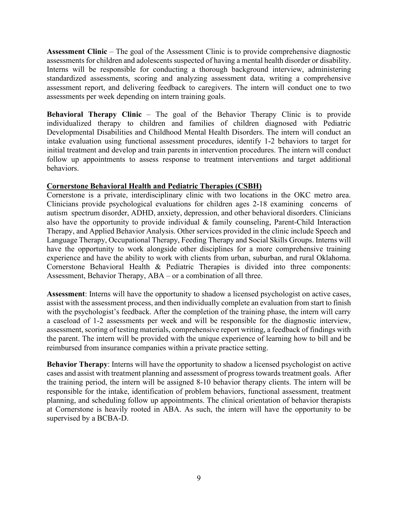**Assessment Clinic** – The goal of the Assessment Clinic is to provide comprehensive diagnostic assessments for children and adolescents suspected of having a mental health disorder or disability. Interns will be responsible for conducting a thorough background interview, administering standardized assessments, scoring and analyzing assessment data, writing a comprehensive assessment report, and delivering feedback to caregivers. The intern will conduct one to two assessments per week depending on intern training goals.

**Behavioral Therapy Clinic** – The goal of the Behavior Therapy Clinic is to provide individualized therapy to children and families of children diagnosed with Pediatric Developmental Disabilities and Childhood Mental Health Disorders. The intern will conduct an intake evaluation using functional assessment procedures, identify 1-2 behaviors to target for initial treatment and develop and train parents in intervention procedures. The intern will conduct follow up appointments to assess response to treatment interventions and target additional behaviors.

# **Cornerstone Behavioral Health and Pediatric Therapies (CSBH)**

Cornerstone is a private, interdisciplinary clinic with two locations in the OKC metro area. Clinicians provide psychological evaluations for children ages 2-18 examining concerns of autism spectrum disorder, ADHD, anxiety, depression, and other behavioral disorders. Clinicians also have the opportunity to provide individual & family counseling, Parent-Child Interaction Therapy, and Applied Behavior Analysis. Other services provided in the clinic include Speech and Language Therapy, Occupational Therapy, Feeding Therapy and Social Skills Groups. Interns will have the opportunity to work alongside other disciplines for a more comprehensive training experience and have the ability to work with clients from urban, suburban, and rural Oklahoma. Cornerstone Behavioral Health & Pediatric Therapies is divided into three components: Assessment, Behavior Therapy, ABA – or a combination of all three.

**Assessment**: Interns will have the opportunity to shadow a licensed psychologist on active cases, assist with the assessment process, and then individually complete an evaluation from start to finish with the psychologist's feedback. After the completion of the training phase, the intern will carry a caseload of 1-2 assessments per week and will be responsible for the diagnostic interview, assessment, scoring of testing materials, comprehensive report writing, a feedback of findings with the parent. The intern will be provided with the unique experience of learning how to bill and be reimbursed from insurance companies within a private practice setting.

**Behavior Therapy**: Interns will have the opportunity to shadow a licensed psychologist on active cases and assist with treatment planning and assessment of progress towards treatment goals. After the training period, the intern will be assigned 8-10 behavior therapy clients. The intern will be responsible for the intake, identification of problem behaviors, functional assessment, treatment planning, and scheduling follow up appointments. The clinical orientation of behavior therapists at Cornerstone is heavily rooted in ABA. As such, the intern will have the opportunity to be supervised by a BCBA-D.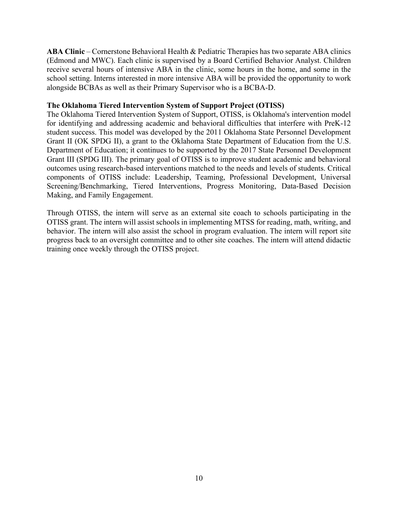**ABA Clinic** – Cornerstone Behavioral Health & Pediatric Therapies has two separate ABA clinics (Edmond and MWC). Each clinic is supervised by a Board Certified Behavior Analyst. Children receive several hours of intensive ABA in the clinic, some hours in the home, and some in the school setting. Interns interested in more intensive ABA will be provided the opportunity to work alongside BCBAs as well as their Primary Supervisor who is a BCBA-D.

#### **The Oklahoma Tiered Intervention System of Support Project (OTISS)**

The Oklahoma Tiered Intervention System of Support, OTISS, is Oklahoma's intervention model for identifying and addressing academic and behavioral difficulties that interfere with PreK-12 student success. This model was developed by the 2011 Oklahoma State Personnel Development Grant II (OK SPDG II), a grant to the Oklahoma State Department of Education from the U.S. Department of Education; it continues to be supported by the 2017 State Personnel Development Grant III (SPDG III). The primary goal of OTISS is to improve student academic and behavioral outcomes using research-based interventions matched to the needs and levels of students. Critical components of OTISS include: Leadership, Teaming, Professional Development, Universal Screening/Benchmarking, Tiered Interventions, Progress Monitoring, Data-Based Decision Making, and Family Engagement.

Through OTISS, the intern will serve as an external site coach to schools participating in the OTISS grant. The intern will assist schools in implementing MTSS for reading, math, writing, and behavior. The intern will also assist the school in program evaluation. The intern will report site progress back to an oversight committee and to other site coaches. The intern will attend didactic training once weekly through the OTISS project.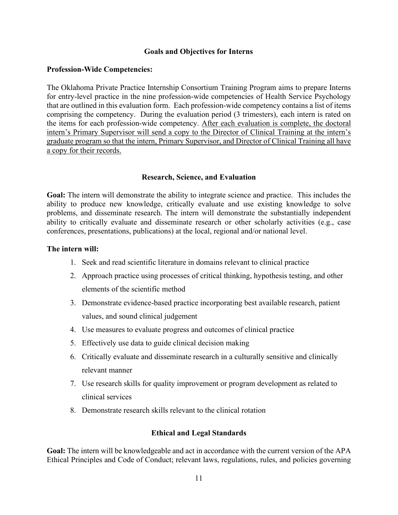## **Goals and Objectives for Interns**

## **Profession-Wide Competencies:**

The Oklahoma Private Practice Internship Consortium Training Program aims to prepare Interns for entry-level practice in the nine profession-wide competencies of Health Service Psychology that are outlined in this evaluation form. Each profession-wide competency contains a list of items comprising the competency. During the evaluation period (3 trimesters), each intern is rated on the items for each profession-wide competency. After each evaluation is complete, the doctoral intern's Primary Supervisor will send a copy to the Director of Clinical Training at the intern's graduate program so that the intern, Primary Supervisor, and Director of Clinical Training all have a copy for their records.

# **Research, Science, and Evaluation**

**Goal:** The intern will demonstrate the ability to integrate science and practice. This includes the ability to produce new knowledge, critically evaluate and use existing knowledge to solve problems, and disseminate research. The intern will demonstrate the substantially independent ability to critically evaluate and disseminate research or other scholarly activities (e.g., case conferences, presentations, publications) at the local, regional and/or national level.

## **The intern will:**

- 1. Seek and read scientific literature in domains relevant to clinical practice
- 2. Approach practice using processes of critical thinking, hypothesis testing, and other elements of the scientific method
- 3. Demonstrate evidence-based practice incorporating best available research, patient values, and sound clinical judgement
- 4. Use measures to evaluate progress and outcomes of clinical practice
- 5. Effectively use data to guide clinical decision making
- 6. Critically evaluate and disseminate research in a culturally sensitive and clinically relevant manner
- 7. Use research skills for quality improvement or program development as related to clinical services
- 8. Demonstrate research skills relevant to the clinical rotation

# **Ethical and Legal Standards**

**Goal:** The intern will be knowledgeable and act in accordance with the current version of the APA Ethical Principles and Code of Conduct; relevant laws, regulations, rules, and policies governing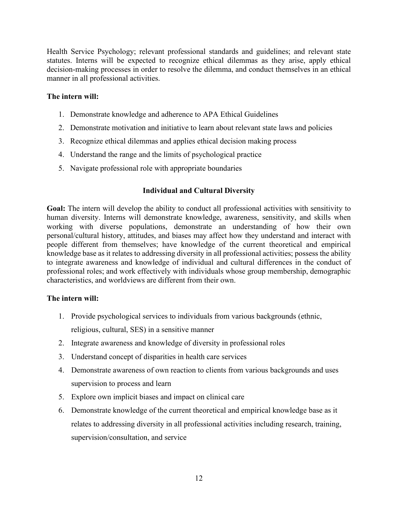Health Service Psychology; relevant professional standards and guidelines; and relevant state statutes. Interns will be expected to recognize ethical dilemmas as they arise, apply ethical decision-making processes in order to resolve the dilemma, and conduct themselves in an ethical manner in all professional activities.

# **The intern will:**

- 1. Demonstrate knowledge and adherence to APA Ethical Guidelines
- 2. Demonstrate motivation and initiative to learn about relevant state laws and policies
- 3. Recognize ethical dilemmas and applies ethical decision making process
- 4. Understand the range and the limits of psychological practice
- 5. Navigate professional role with appropriate boundaries

# **Individual and Cultural Diversity**

**Goal:** The intern will develop the ability to conduct all professional activities with sensitivity to human diversity. Interns will demonstrate knowledge, awareness, sensitivity, and skills when working with diverse populations, demonstrate an understanding of how their own personal/cultural history, attitudes, and biases may affect how they understand and interact with people different from themselves; have knowledge of the current theoretical and empirical knowledge base as it relates to addressing diversity in all professional activities; possess the ability to integrate awareness and knowledge of individual and cultural differences in the conduct of professional roles; and work effectively with individuals whose group membership, demographic characteristics, and worldviews are different from their own.

## **The intern will:**

- 1. Provide psychological services to individuals from various backgrounds (ethnic, religious, cultural, SES) in a sensitive manner
- 2. Integrate awareness and knowledge of diversity in professional roles
- 3. Understand concept of disparities in health care services
- 4. Demonstrate awareness of own reaction to clients from various backgrounds and uses supervision to process and learn
- 5. Explore own implicit biases and impact on clinical care
- 6. Demonstrate knowledge of the current theoretical and empirical knowledge base as it relates to addressing diversity in all professional activities including research, training, supervision/consultation, and service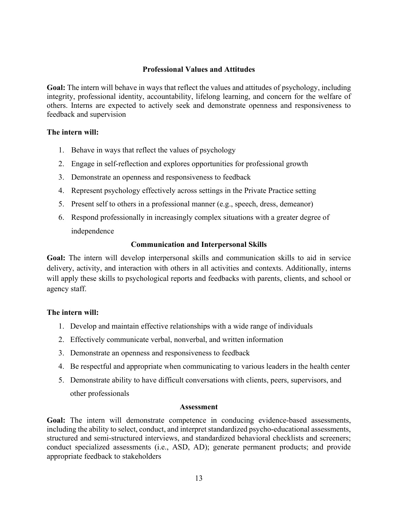# **Professional Values and Attitudes**

**Goal:** The intern will behave in ways that reflect the values and attitudes of psychology, including integrity, professional identity, accountability, lifelong learning, and concern for the welfare of others. Interns are expected to actively seek and demonstrate openness and responsiveness to feedback and supervision

## **The intern will:**

- 1. Behave in ways that reflect the values of psychology
- 2. Engage in self-reflection and explores opportunities for professional growth
- 3. Demonstrate an openness and responsiveness to feedback
- 4. Represent psychology effectively across settings in the Private Practice setting
- 5. Present self to others in a professional manner (e.g., speech, dress, demeanor)
- 6. Respond professionally in increasingly complex situations with a greater degree of independence

## **Communication and Interpersonal Skills**

**Goal:** The intern will develop interpersonal skills and communication skills to aid in service delivery, activity, and interaction with others in all activities and contexts. Additionally, interns will apply these skills to psychological reports and feedbacks with parents, clients, and school or agency staff.

## **The intern will:**

- 1. Develop and maintain effective relationships with a wide range of individuals
- 2. Effectively communicate verbal, nonverbal, and written information
- 3. Demonstrate an openness and responsiveness to feedback
- 4. Be respectful and appropriate when communicating to various leaders in the health center
- 5. Demonstrate ability to have difficult conversations with clients, peers, supervisors, and other professionals

#### **Assessment**

**Goal:** The intern will demonstrate competence in conducing evidence-based assessments, including the ability to select, conduct, and interpret standardized psycho-educational assessments, structured and semi-structured interviews, and standardized behavioral checklists and screeners; conduct specialized assessments (i.e., ASD, AD); generate permanent products; and provide appropriate feedback to stakeholders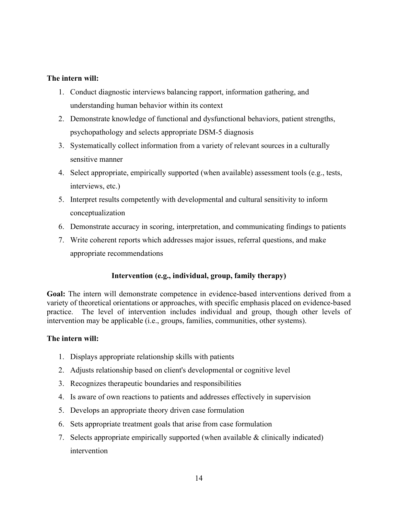## **The intern will:**

- 1. Conduct diagnostic interviews balancing rapport, information gathering, and understanding human behavior within its context
- 2. Demonstrate knowledge of functional and dysfunctional behaviors, patient strengths, psychopathology and selects appropriate DSM-5 diagnosis
- 3. Systematically collect information from a variety of relevant sources in a culturally sensitive manner
- 4. Select appropriate, empirically supported (when available) assessment tools (e.g., tests, interviews, etc.)
- 5. Interpret results competently with developmental and cultural sensitivity to inform conceptualization
- 6. Demonstrate accuracy in scoring, interpretation, and communicating findings to patients
- 7. Write coherent reports which addresses major issues, referral questions, and make appropriate recommendations

# **Intervention (e.g., individual, group, family therapy)**

**Goal:** The intern will demonstrate competence in evidence-based interventions derived from a variety of theoretical orientations or approaches, with specific emphasis placed on evidence-based practice. The level of intervention includes individual and group, though other levels of intervention may be applicable (i.e., groups, families, communities, other systems).

# **The intern will:**

- 1. Displays appropriate relationship skills with patients
- 2. Adjusts relationship based on client's developmental or cognitive level
- 3. Recognizes therapeutic boundaries and responsibilities
- 4. Is aware of own reactions to patients and addresses effectively in supervision
- 5. Develops an appropriate theory driven case formulation
- 6. Sets appropriate treatment goals that arise from case formulation
- 7. Selects appropriate empirically supported (when available & clinically indicated) intervention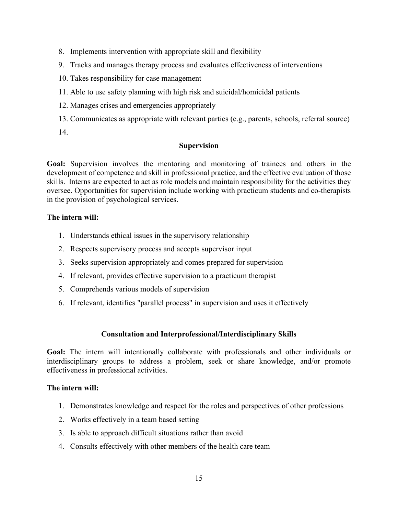- 8. Implements intervention with appropriate skill and flexibility
- 9. Tracks and manages therapy process and evaluates effectiveness of interventions
- 10. Takes responsibility for case management
- 11. Able to use safety planning with high risk and suicidal/homicidal patients
- 12. Manages crises and emergencies appropriately
- 13. Communicates as appropriate with relevant parties (e.g., parents, schools, referral source)
- 14.

# **Supervision**

**Goal:** Supervision involves the mentoring and monitoring of trainees and others in the development of competence and skill in professional practice, and the effective evaluation of those skills. Interns are expected to act as role models and maintain responsibility for the activities they oversee. Opportunities for supervision include working with practicum students and co-therapists in the provision of psychological services.

## **The intern will:**

- 1. Understands ethical issues in the supervisory relationship
- 2. Respects supervisory process and accepts supervisor input
- 3. Seeks supervision appropriately and comes prepared for supervision
- 4. If relevant, provides effective supervision to a practicum therapist
- 5. Comprehends various models of supervision
- 6. If relevant, identifies "parallel process" in supervision and uses it effectively

## **Consultation and Interprofessional/Interdisciplinary Skills**

**Goal:** The intern will intentionally collaborate with professionals and other individuals or interdisciplinary groups to address a problem, seek or share knowledge, and/or promote effectiveness in professional activities.

## **The intern will:**

- 1. Demonstrates knowledge and respect for the roles and perspectives of other professions
- 2. Works effectively in a team based setting
- 3. Is able to approach difficult situations rather than avoid
- 4. Consults effectively with other members of the health care team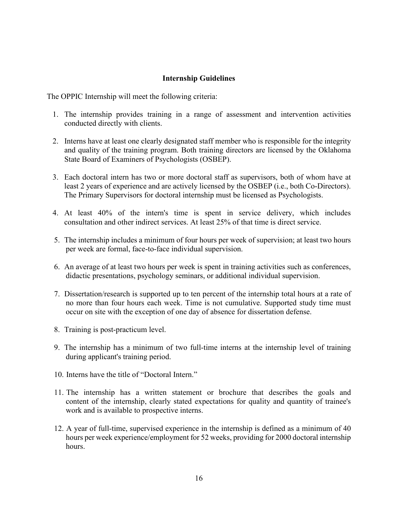# **Internship Guidelines**

<span id="page-15-0"></span>The OPPIC Internship will meet the following criteria:

- 1. The internship provides training in a range of assessment and intervention activities conducted directly with clients.
- 2. Interns have at least one clearly designated staff member who is responsible for the integrity and quality of the training program. Both training directors are licensed by the Oklahoma State Board of Examiners of Psychologists (OSBEP).
- 3. Each doctoral intern has two or more doctoral staff as supervisors, both of whom have at least 2 years of experience and are actively licensed by the OSBEP (i.e., both Co-Directors). The Primary Supervisors for doctoral internship must be licensed as Psychologists.
- 4. At least 40% of the intern's time is spent in service delivery, which includes consultation and other indirect services. At least 25% of that time is direct service.
- 5. The internship includes a minimum of four hours per week of supervision; at least two hours per week are formal, face-to-face individual supervision.
- 6. An average of at least two hours per week is spent in training activities such as conferences, didactic presentations, psychology seminars, or additional individual supervision.
- 7. Dissertation/research is supported up to ten percent of the internship total hours at a rate of no more than four hours each week. Time is not cumulative. Supported study time must occur on site with the exception of one day of absence for dissertation defense.
- 8. Training is post-practicum level.
- 9. The internship has a minimum of two full-time interns at the internship level of training during applicant's training period.
- 10. Interns have the title of "Doctoral Intern."
- 11. The internship has a written statement or brochure that describes the goals and content of the internship, clearly stated expectations for quality and quantity of trainee's work and is available to prospective interns.
- 12. A year of full-time, supervised experience in the internship is defined as a minimum of 40 hours per week experience/employment for 52 weeks, providing for 2000 doctoral internship hours.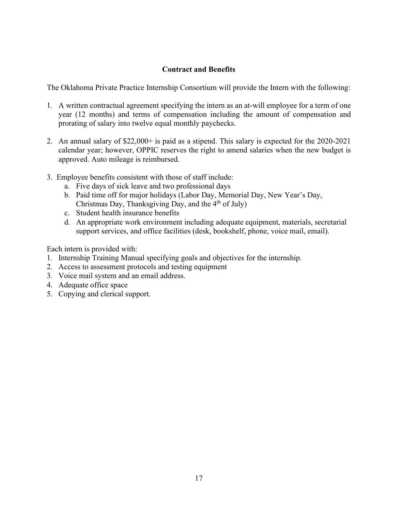# **Contract and Benefits**

<span id="page-16-0"></span>The Oklahoma Private Practice Internship Consortium will provide the Intern with the following:

- 1. A written contractual agreement specifying the intern as an at-will employee for a term of one year (12 months) and terms of compensation including the amount of compensation and prorating of salary into twelve equal monthly paychecks.
- 2. An annual salary of \$22,000+ is paid as a stipend. This salary is expected for the 2020-2021 calendar year; however, OPPIC reserves the right to amend salaries when the new budget is approved. Auto mileage is reimbursed.
- 3. Employee benefits consistent with those of staff include:
	- a. Five days of sick leave and two professional days
	- b. Paid time off for major holidays (Labor Day, Memorial Day, New Year's Day, Christmas Day, Thanksgiving Day, and the  $4<sup>th</sup>$  of July)
	- c. Student health insurance benefits
	- d. An appropriate work environment including adequate equipment, materials, secretarial support services, and office facilities (desk, bookshelf, phone, voice mail, email).

Each intern is provided with:

- 1. Internship Training Manual specifying goals and objectives for the internship.
- 2. Access to assessment protocols and testing equipment
- 3. Voice mail system and an email address.
- 4. Adequate office space
- 5. Copying and clerical support.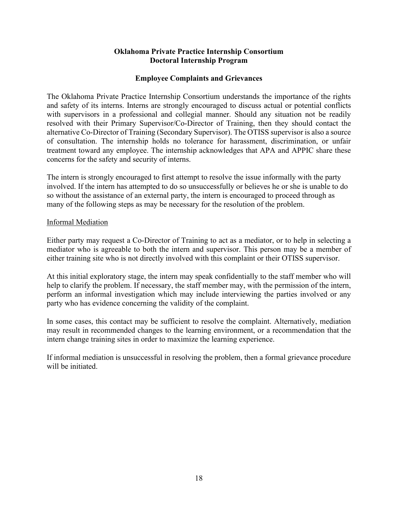## **Oklahoma Private Practice Internship Consortium Doctoral Internship Program**

# **Employee Complaints and Grievances**

<span id="page-17-0"></span> The Oklahoma Private Practice Internship Consortium understands the importance of the rights and safety of its interns. Interns are strongly encouraged to discuss actual or potential conflicts with supervisors in a professional and collegial manner. Should any situation not be readily resolved with their Primary Supervisor/Co-Director of Training, then they should contact the alternative Co-Director of Training (Secondary Supervisor). The OTISS supervisor is also a source of consultation. The internship holds no tolerance for harassment, discrimination, or unfair treatment toward any employee. The internship acknowledges that APA and APPIC share these concerns for the safety and security of interns.

The intern is strongly encouraged to first attempt to resolve the issue informally with the party involved. If the intern has attempted to do so unsuccessfully or believes he or she is unable to do so without the assistance of an external party, the intern is encouraged to proceed through as many of the following steps as may be necessary for the resolution of the problem.

## Informal Mediation

Either party may request a Co-Director of Training to act as a mediator, or to help in selecting a mediator who is agreeable to both the intern and supervisor. This person may be a member of either training site who is not directly involved with this complaint or their OTISS supervisor.

At this initial exploratory stage, the intern may speak confidentially to the staff member who will help to clarify the problem. If necessary, the staff member may, with the permission of the intern, perform an informal investigation which may include interviewing the parties involved or any party who has evidence concerning the validity of the complaint.

In some cases, this contact may be sufficient to resolve the complaint. Alternatively, mediation may result in recommended changes to the learning environment, or a recommendation that the intern change training sites in order to maximize the learning experience.

If informal mediation is unsuccessful in resolving the problem, then a formal grievance procedure will be initiated.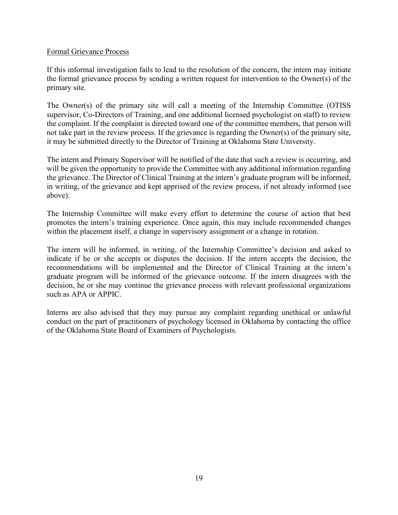## Formal Grievance Process

If this informal investigation fails to lead to the resolution of the concern, the intern may initiate the formal grievance process by sending a written request for intervention to the Owner(s) of the primary site.

The Owner(s) of the primary site will call a meeting of the Internship Committee (OTISS supervisor, Co-Directors of Training, and one additional licensed psychologist on staff) to review the complaint. If the complaint is directed toward one of the committee members, that person will not take part in the review process. If the grievance is regarding the Owner(s) of the primary site, it may be submitted directly to the Director of Training at Oklahoma State University.

The intern and Primary Supervisor will be notified of the date that such a review is occurring, and will be given the opportunity to provide the Committee with any additional information regarding the grievance. The Director of Clinical Training at the intern's graduate program will be informed, in writing, of the grievance and kept apprised of the review process, if not already informed (see above).

The Internship Committee will make every effort to determine the course of action that best promotes the intern's training experience. Once again, this may include recommended changes within the placement itself, a change in supervisory assignment or a change in rotation.

The intern will be informed, in writing, of the Internship Committee's decision and asked to indicate if he or she accepts or disputes the decision. If the intern accepts the decision, the recommendations will be implemented and the Director of Clinical Training at the intern's graduate program will be informed of the grievance outcome. If the intern disagrees with the decision, he or she may continue the grievance process with relevant professional organizations such as APA or APPIC.

Interns are also advised that they may pursue any complaint regarding unethical or unlawful conduct on the part of practitioners of psychology licensed in Oklahoma by contacting the office of the Oklahoma State Board of Examiners of Psychologists.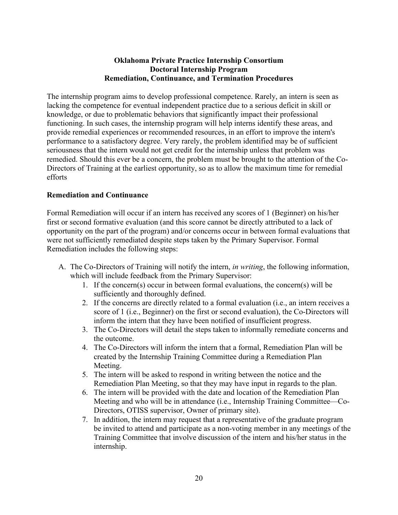# **Oklahoma Private Practice Internship Consortium Doctoral Internship Program Remediation, Continuance, and Termination Procedures**

<span id="page-19-0"></span>The internship program aims to develop professional competence. Rarely, an intern is seen as lacking the competence for eventual independent practice due to a serious deficit in skill or knowledge, or due to problematic behaviors that significantly impact their professional functioning. In such cases, the internship program will help interns identify these areas, and provide remedial experiences or recommended resources, in an effort to improve the intern's performance to a satisfactory degree. Very rarely, the problem identified may be of sufficient seriousness that the intern would not get credit for the internship unless that problem was remedied. Should this ever be a concern, the problem must be brought to the attention of the Co-Directors of Training at the earliest opportunity, so as to allow the maximum time for remedial efforts

# **Remediation and Continuance**

Formal Remediation will occur if an intern has received any scores of 1 (Beginner) on his/her first or second formative evaluation (and this score cannot be directly attributed to a lack of opportunity on the part of the program) and/or concerns occur in between formal evaluations that were not sufficiently remediated despite steps taken by the Primary Supervisor. Formal Remediation includes the following steps:

- A. The Co-Directors of Training will notify the intern, *in writing*, the following information, which will include feedback from the Primary Supervisor:
	- 1. If the concern(s) occur in between formal evaluations, the concern(s) will be sufficiently and thoroughly defined.
	- 2. If the concerns are directly related to a formal evaluation (i.e., an intern receives a score of 1 (i.e., Beginner) on the first or second evaluation), the Co-Directors will inform the intern that they have been notified of insufficient progress.
	- 3. The Co-Directors will detail the steps taken to informally remediate concerns and the outcome.
	- 4. The Co-Directors will inform the intern that a formal, Remediation Plan will be created by the Internship Training Committee during a Remediation Plan Meeting.
	- 5. The intern will be asked to respond in writing between the notice and the Remediation Plan Meeting, so that they may have input in regards to the plan.
	- 6. The intern will be provided with the date and location of the Remediation Plan Meeting and who will be in attendance (i.e., Internship Training Committee—Co-Directors, OTISS supervisor, Owner of primary site).
	- 7. In addition, the intern may request that a representative of the graduate program be invited to attend and participate as a non-voting member in any meetings of the Training Committee that involve discussion of the intern and his/her status in the internship.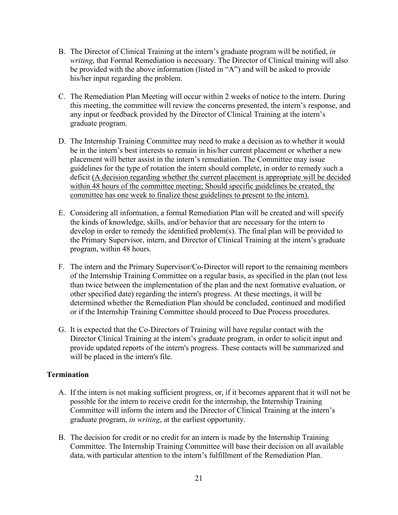- B. The Director of Clinical Training at the intern's graduate program will be notified, *in writing*, that Formal Remediation is necessary. The Director of Clinical training will also be provided with the above information (listed in "A") and will be asked to provide his/her input regarding the problem.
- C. The Remediation Plan Meeting will occur within 2 weeks of notice to the intern. During this meeting, the committee will review the concerns presented, the intern's response, and any input or feedback provided by the Director of Clinical Training at the intern's graduate program.
- D. The Internship Training Committee may need to make a decision as to whether it would be in the intern's best interests to remain in his/her current placement or whether a new placement will better assist in the intern's remediation. The Committee may issue guidelines for the type of rotation the intern should complete, in order to remedy such a deficit (A decision regarding whether the current placement is appropriate will be decided within 48 hours of the committee meeting; Should specific guidelines be created, the committee has one week to finalize these guidelines to present to the intern).
- E. Considering all information, a formal Remediation Plan will be created and will specify the kinds of knowledge, skills, and/or behavior that are necessary for the intern to develop in order to remedy the identified problem(s). The final plan will be provided to the Primary Supervisor, intern, and Director of Clinical Training at the intern's graduate program, within 48 hours.
- F. The intern and the Primary Supervisor/Co-Director will report to the remaining members of the Internship Training Committee on a regular basis, as specified in the plan (not less than twice between the implementation of the plan and the next formative evaluation, or other specified date) regarding the intern's progress. At these meetings, it will be determined whether the Remediation Plan should be concluded, continued and modified or if the Internship Training Committee should proceed to Due Process procedures.
- G. It is expected that the Co-Directors of Training will have regular contact with the Director Clinical Training at the intern's graduate program, in order to solicit input and provide updated reports of the intern's progress. These contacts will be summarized and will be placed in the intern's file.

## **Termination**

- A. If the intern is not making sufficient progress, or, if it becomes apparent that it will not be possible for the intern to receive credit for the internship, the Internship Training Committee will inform the intern and the Director of Clinical Training at the intern's graduate program, *in writing*, at the earliest opportunity.
- B. The decision for credit or no credit for an intern is made by the Internship Training Committee. The Internship Training Committee will base their decision on all available data, with particular attention to the intern's fulfillment of the Remediation Plan.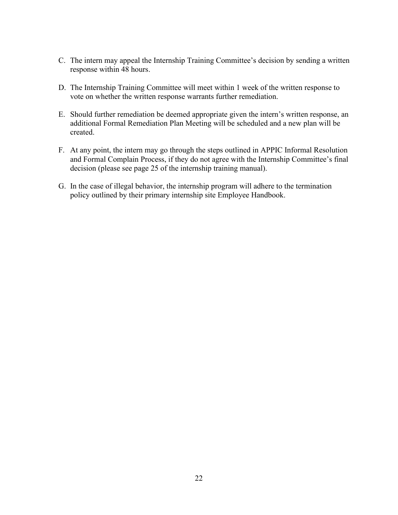- C. The intern may appeal the Internship Training Committee's decision by sending a written response within 48 hours.
- D. The Internship Training Committee will meet within 1 week of the written response to vote on whether the written response warrants further remediation.
- E. Should further remediation be deemed appropriate given the intern's written response, an additional Formal Remediation Plan Meeting will be scheduled and a new plan will be created.
- F. At any point, the intern may go through the steps outlined in APPIC Informal Resolution and Formal Complain Process, if they do not agree with the Internship Committee's final decision (please see page 25 of the internship training manual).
- G. In the case of illegal behavior, the internship program will adhere to the termination policy outlined by their primary internship site Employee Handbook.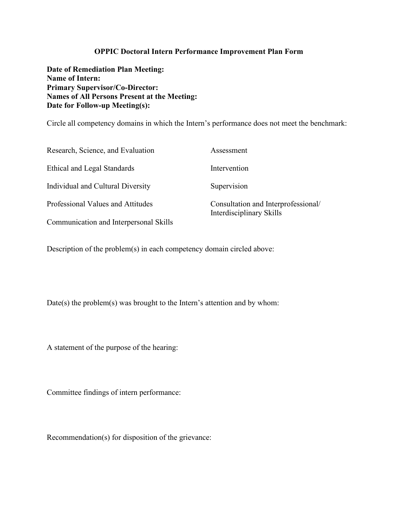## **OPPIC Doctoral Intern Performance Improvement Plan Form**

<span id="page-22-0"></span>**Date of Remediation Plan Meeting: Name of Intern: Primary Supervisor/Co-Director: Names of All Persons Present at the Meeting: Date for Follow-up Meeting(s):**

Circle all competency domains in which the Intern's performance does not meet the benchmark:

| Research, Science, and Evaluation      | Assessment                                                      |
|----------------------------------------|-----------------------------------------------------------------|
| Ethical and Legal Standards            | Intervention                                                    |
| Individual and Cultural Diversity      | Supervision                                                     |
| Professional Values and Attitudes      | Consultation and Interprofessional/<br>Interdisciplinary Skills |
| Communication and Interpersonal Skills |                                                                 |

Description of the problem(s) in each competency domain circled above:

Date(s) the problem(s) was brought to the Intern's attention and by whom:

A statement of the purpose of the hearing:

Committee findings of intern performance:

Recommendation(s) for disposition of the grievance: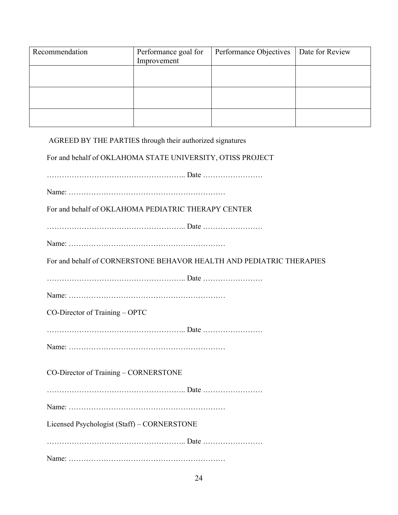| Recommendation | Performance goal for<br>Improvement | Performance Objectives | Date for Review |
|----------------|-------------------------------------|------------------------|-----------------|
|                |                                     |                        |                 |
|                |                                     |                        |                 |
|                |                                     |                        |                 |
|                |                                     |                        |                 |
|                |                                     |                        |                 |
|                |                                     |                        |                 |
|                |                                     |                        |                 |

AGREED BY THE PARTIES through their authorized signatures

For and behalf of OKLAHOMA STATE UNIVERSITY, OTISS PROJECT

……………………………………………….. Date ……………………

Name: ………………………………………………………

For and behalf of OKLAHOMA PEDIATRIC THERAPY CENTER

……………………………………………….. Date ……………………

Name: ………………………………………………………

For and behalf of CORNERSTONE BEHAVOR HEALTH AND PEDIATRIC THERAPIES

……………………………………………….. Date ……………………

Name: ………………………………………………………

CO-Director of Training – OPTC

……………………………………………….. Date ……………………

Name: ………………………………………………………

CO-Director of Training – CORNERSTONE

……………………………………………….. Date ……………………

Name: ………………………………………………………

Licensed Psychologist (Staff) – CORNERSTONE

……………………………………………….. Date ……………………

Name: ………………………………………………………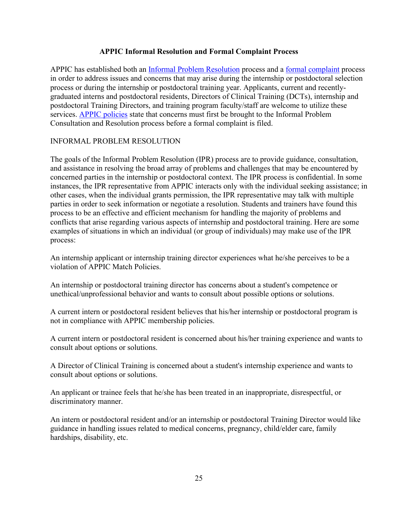# **APPIC Informal Resolution and Formal Complaint Process**

<span id="page-24-0"></span>APPIC has established both an [Informal Problem Resolution](http://www.appic.org/problem_resolution/index.html#CIPR) process and a [formal complaint](http://www.appic.org/problem_resolution/index.html#Formal) process in order to address issues and concerns that may arise during the internship or postdoctoral selection process or during the internship or postdoctoral training year. Applicants, current and recentlygraduated interns and postdoctoral residents, Directors of Clinical Training (DCTs), internship and postdoctoral Training Directors, and training program faculty/staff are welcome to utilize these services. [APPIC policies](http://www.appic.org/about/2_3_4_about_policies_and_procedures_asarc.html) state that concerns must first be brought to the Informal Problem Consultation and Resolution process before a formal complaint is filed.

# INFORMAL PROBLEM RESOLUTION

The goals of the Informal Problem Resolution (IPR) process are to provide guidance, consultation, and assistance in resolving the broad array of problems and challenges that may be encountered by concerned parties in the internship or postdoctoral context. The IPR process is confidential. In some instances, the IPR representative from APPIC interacts only with the individual seeking assistance; in other cases, when the individual grants permission, the IPR representative may talk with multiple parties in order to seek information or negotiate a resolution. Students and trainers have found this process to be an effective and efficient mechanism for handling the majority of problems and conflicts that arise regarding various aspects of internship and postdoctoral training. Here are some examples of situations in which an individual (or group of individuals) may make use of the IPR process:

An internship applicant or internship training director experiences what he/she perceives to be a violation of APPIC Match Policies.

An internship or postdoctoral training director has concerns about a student's competence or unethical/unprofessional behavior and wants to consult about possible options or solutions.

A current intern or postdoctoral resident believes that his/her internship or postdoctoral program is not in compliance with APPIC membership policies.

A current intern or postdoctoral resident is concerned about his/her training experience and wants to consult about options or solutions.

A Director of Clinical Training is concerned about a student's internship experience and wants to consult about options or solutions.

An applicant or trainee feels that he/she has been treated in an inappropriate, disrespectful, or discriminatory manner.

An intern or postdoctoral resident and/or an internship or postdoctoral Training Director would like guidance in handling issues related to medical concerns, pregnancy, child/elder care, family hardships, disability, etc.